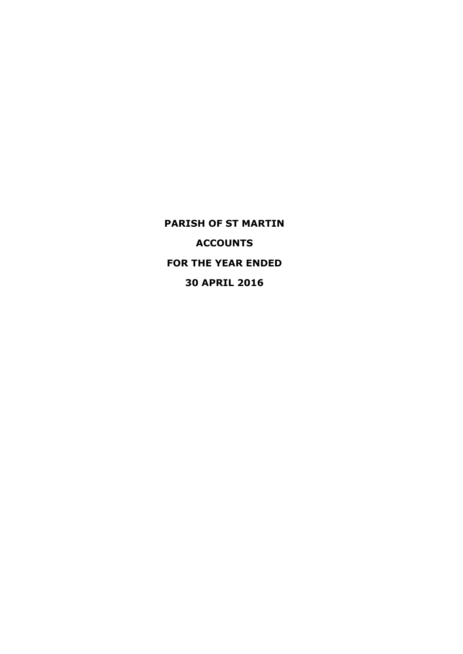**PARISH OF ST MARTIN ACCOUNTS FOR THE YEAR ENDED 30 APRIL 2016**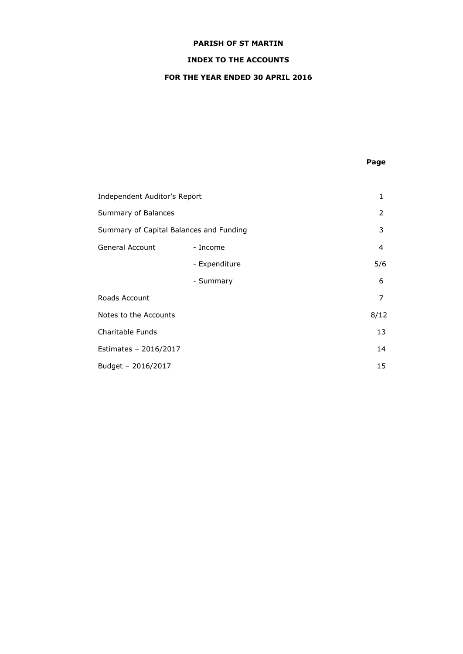# **INDEX TO THE ACCOUNTS**

# **FOR THE YEAR ENDED 30 APRIL 2016**

# **Page**

| Independent Auditor's Report            |               | 1    |
|-----------------------------------------|---------------|------|
| Summary of Balances                     |               | 2    |
| Summary of Capital Balances and Funding |               | 3    |
| <b>General Account</b>                  | - Income      | 4    |
|                                         | - Expenditure | 5/6  |
|                                         | - Summary     | 6    |
| Roads Account                           |               | 7    |
| Notes to the Accounts                   |               | 8/12 |
| Charitable Funds                        |               | 13   |
| Estimates - 2016/2017                   |               | 14   |
| Budget - 2016/2017                      |               | 15   |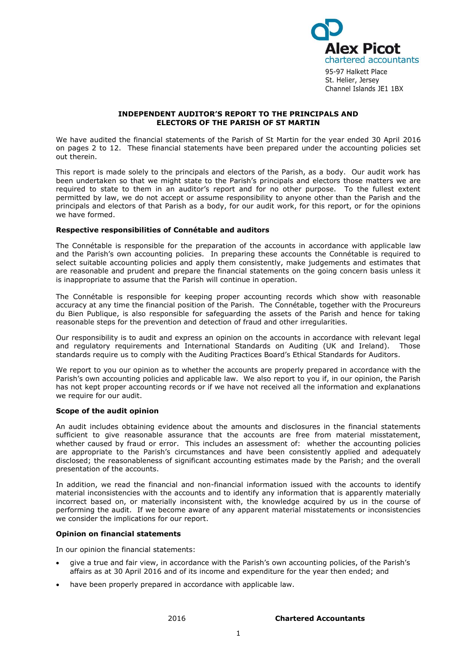

95-97 Halkett Place St. Helier, Jersey Channel Islands JE1 1BX

### **INDEPENDENT AUDITOR'S REPORT TO THE PRINCIPALS AND ELECTORS OF THE PARISH OF ST MARTIN**

We have audited the financial statements of the Parish of St Martin for the year ended 30 April 2016 on pages 2 to 12. These financial statements have been prepared under the accounting policies set out therein.

This report is made solely to the principals and electors of the Parish, as a body. Our audit work has been undertaken so that we might state to the Parish's principals and electors those matters we are required to state to them in an auditor's report and for no other purpose. To the fullest extent permitted by law, we do not accept or assume responsibility to anyone other than the Parish and the principals and electors of that Parish as a body, for our audit work, for this report, or for the opinions we have formed.

### **Respective responsibilities of Connétable and auditors**

The Connétable is responsible for the preparation of the accounts in accordance with applicable law and the Parish's own accounting policies. In preparing these accounts the Connétable is required to select suitable accounting policies and apply them consistently, make judgements and estimates that are reasonable and prudent and prepare the financial statements on the going concern basis unless it is inappropriate to assume that the Parish will continue in operation.

The Connétable is responsible for keeping proper accounting records which show with reasonable accuracy at any time the financial position of the Parish. The Connétable, together with the Procureurs du Bien Publique, is also responsible for safeguarding the assets of the Parish and hence for taking reasonable steps for the prevention and detection of fraud and other irregularities.

Our responsibility is to audit and express an opinion on the accounts in accordance with relevant legal and regulatory requirements and International Standards on Auditing (UK and Ireland). Those standards require us to comply with the Auditing Practices Board's Ethical Standards for Auditors.

We report to you our opinion as to whether the accounts are properly prepared in accordance with the Parish's own accounting policies and applicable law. We also report to you if, in our opinion, the Parish has not kept proper accounting records or if we have not received all the information and explanations we require for our audit.

### **Scope of the audit opinion**

An audit includes obtaining evidence about the amounts and disclosures in the financial statements sufficient to give reasonable assurance that the accounts are free from material misstatement, whether caused by fraud or error. This includes an assessment of: whether the accounting policies are appropriate to the Parish's circumstances and have been consistently applied and adequately disclosed; the reasonableness of significant accounting estimates made by the Parish; and the overall presentation of the accounts.

In addition, we read the financial and non-financial information issued with the accounts to identify material inconsistencies with the accounts and to identify any information that is apparently materially incorrect based on, or materially inconsistent with, the knowledge acquired by us in the course of performing the audit. If we become aware of any apparent material misstatements or inconsistencies we consider the implications for our report.

### **Opinion on financial statements**

In our opinion the financial statements:

- give a true and fair view, in accordance with the Parish's own accounting policies, of the Parish's affairs as at 30 April 2016 and of its income and expenditure for the year then ended; and
- have been properly prepared in accordance with applicable law.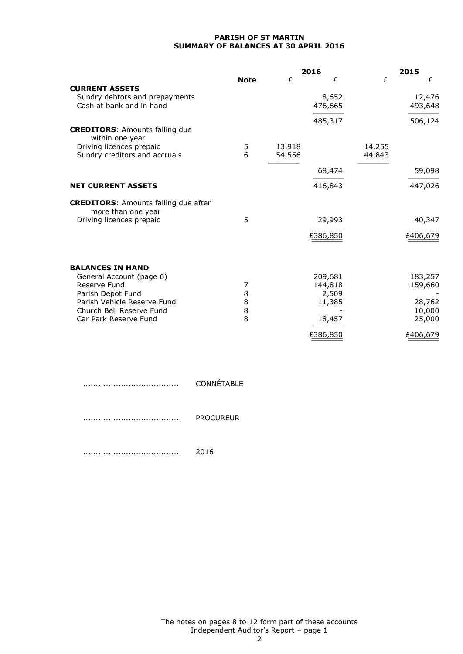### **PARISH OF ST MARTIN SUMMARY OF BALANCES AT 30 APRIL 2016**

|                                                                   |             |        | 2016            | 2015   |          |
|-------------------------------------------------------------------|-------------|--------|-----------------|--------|----------|
|                                                                   | <b>Note</b> | £      | £               | £      | £        |
| <b>CURRENT ASSETS</b>                                             |             |        |                 |        |          |
| Sundry debtors and prepayments                                    |             |        | 8,652           |        | 12,476   |
| Cash at bank and in hand                                          |             |        | 476,665         |        | 493,648  |
|                                                                   |             |        | 485,317         |        | 506,124  |
| <b>CREDITORS: Amounts falling due</b><br>within one year          |             |        |                 |        |          |
| Driving licences prepaid                                          | 5           | 13,918 |                 | 14,255 |          |
| Sundry creditors and accruals                                     | 6           | 54,556 |                 | 44,843 |          |
|                                                                   |             |        | 68,474          |        | 59,098   |
| <b>NET CURRENT ASSETS</b>                                         |             |        | 416,843         |        | 447,026  |
| <b>CREDITORS: Amounts falling due after</b><br>more than one year |             |        |                 |        |          |
| Driving licences prepaid                                          | 5           |        | 29,993          |        | 40,347   |
|                                                                   |             |        | £386,850        |        | £406,679 |
|                                                                   |             |        |                 |        |          |
| <b>BALANCES IN HAND</b>                                           |             |        |                 |        |          |
| General Account (page 6)                                          |             |        | 209,681         |        | 183,257  |
| Reserve Fund                                                      | 7<br>8      |        | 144,818         |        | 159,660  |
| Parish Depot Fund<br>Parish Vehicle Reserve Fund                  | 8           |        | 2,509<br>11,385 |        | 28,762   |
| Church Bell Reserve Fund                                          | 8           |        |                 |        | 10,000   |
| Car Park Reserve Fund                                             | 8           |        | 18,457          |        | 25,000   |
|                                                                   |             |        | £386,850        |        | £406,679 |

....................................... CONNÉTABLE ....................................... PROCUREUR

....................................... 2016

The notes on pages 8 to 12 form part of these accounts Independent Auditor's Report – page 1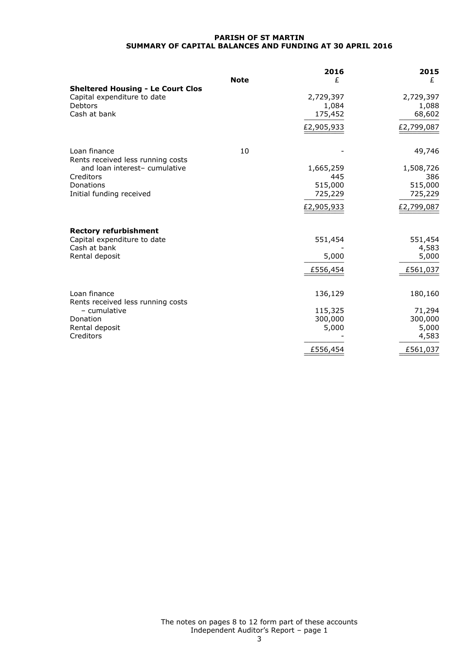### **PARISH OF ST MARTIN SUMMARY OF CAPITAL BALANCES AND FUNDING AT 30 APRIL 2016**

|                                                                    | <b>Note</b> | 2016<br>£  | 2015<br>£  |
|--------------------------------------------------------------------|-------------|------------|------------|
| <b>Sheltered Housing - Le Court Clos</b>                           |             |            |            |
| Capital expenditure to date                                        |             | 2,729,397  | 2,729,397  |
| Debtors                                                            |             | 1,084      | 1,088      |
| Cash at bank                                                       |             | 175,452    | 68,602     |
|                                                                    |             | £2,905,933 | £2,799,087 |
| Loan finance                                                       | 10          |            | 49,746     |
| Rents received less running costs<br>and loan interest- cumulative |             | 1,665,259  | 1,508,726  |
| Creditors                                                          |             | 445        | 386        |
| Donations                                                          |             | 515,000    | 515,000    |
| Initial funding received                                           |             | 725,229    | 725,229    |
|                                                                    |             | £2,905,933 | £2,799,087 |
| <b>Rectory refurbishment</b>                                       |             |            |            |
| Capital expenditure to date                                        |             | 551,454    | 551,454    |
| Cash at bank                                                       |             |            | 4,583      |
| Rental deposit                                                     |             | 5,000      | 5,000      |
|                                                                    |             | £556,454   | £561,037   |
| Loan finance                                                       |             | 136,129    | 180,160    |
| Rents received less running costs                                  |             |            |            |
| - cumulative                                                       |             | 115,325    | 71,294     |
| Donation                                                           |             | 300,000    | 300,000    |
| Rental deposit                                                     |             | 5,000      | 5,000      |
| Creditors                                                          |             |            | 4,583      |
|                                                                    |             | £556,454   | £561,037   |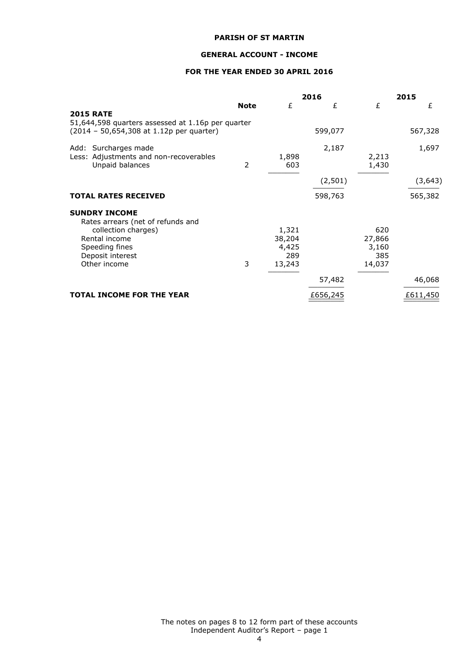### **GENERAL ACCOUNT - INCOME**

# **FOR THE YEAR ENDED 30 APRIL 2016**

|                                                                                                                                 |             |                                           | 2016     |                                         | 2015     |
|---------------------------------------------------------------------------------------------------------------------------------|-------------|-------------------------------------------|----------|-----------------------------------------|----------|
| <b>2015 RATE</b>                                                                                                                | <b>Note</b> | £                                         | £        | £                                       | £        |
| 51,644,598 quarters assessed at 1.16p per quarter<br>(2014 - 50,654,308 at 1.12p per quarter)                                   |             |                                           | 599,077  |                                         | 567,328  |
| Add: Surcharges made<br>Less: Adjustments and non-recoverables<br>Unpaid balances                                               | 2           | 1,898<br>603                              | 2,187    | 2,213<br>1,430                          | 1,697    |
|                                                                                                                                 |             |                                           | (2,501)  |                                         | (3, 643) |
| <b>TOTAL RATES RECEIVED</b>                                                                                                     |             |                                           | 598,763  |                                         | 565,382  |
| <b>SUNDRY INCOME</b>                                                                                                            |             |                                           |          |                                         |          |
| Rates arrears (net of refunds and<br>collection charges)<br>Rental income<br>Speeding fines<br>Deposit interest<br>Other income | 3           | 1,321<br>38,204<br>4,425<br>289<br>13,243 |          | 620<br>27,866<br>3,160<br>385<br>14,037 |          |
|                                                                                                                                 |             |                                           | 57,482   |                                         | 46,068   |
| <b>TOTAL INCOME FOR THE YEAR</b>                                                                                                |             |                                           | £656,245 |                                         | £611,450 |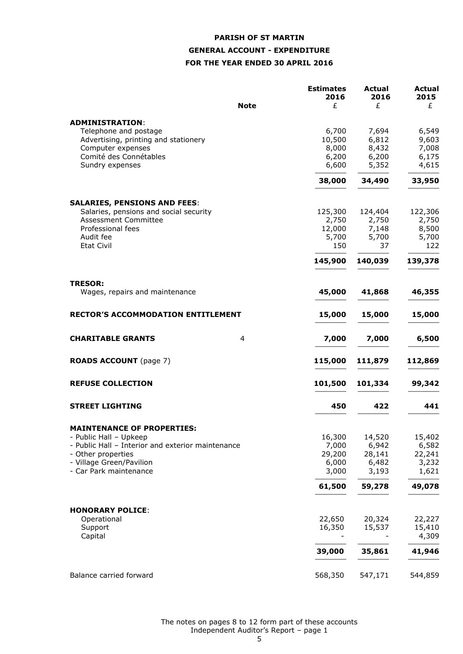# **PARISH OF ST MARTIN GENERAL ACCOUNT - EXPENDITURE FOR THE YEAR ENDED 30 APRIL 2016**

| <b>Note</b>                                                                 | <b>Estimates</b><br>2016<br>£ | <b>Actual</b><br>2016<br>£ | <b>Actual</b><br>2015<br>£ |
|-----------------------------------------------------------------------------|-------------------------------|----------------------------|----------------------------|
|                                                                             |                               |                            |                            |
| <b>ADMINISTRATION:</b>                                                      |                               |                            |                            |
| Telephone and postage                                                       | 6,700                         | 7,694                      | 6,549                      |
| Advertising, printing and stationery<br>Computer expenses                   | 10,500<br>8,000               | 6,812<br>8,432             | 9,603<br>7,008             |
| Comité des Connétables                                                      | 6,200                         | 6,200                      | 6,175                      |
| Sundry expenses                                                             | 6,600                         | 5,352                      | 4,615                      |
|                                                                             | 38,000                        | 34,490                     | 33,950                     |
|                                                                             |                               |                            |                            |
| <b>SALARIES, PENSIONS AND FEES:</b>                                         |                               |                            |                            |
| Salaries, pensions and social security                                      | 125,300                       | 124,404                    | 122,306                    |
| <b>Assessment Committee</b>                                                 | 2,750                         | 2,750                      | 2,750                      |
| Professional fees                                                           | 12,000                        | 7,148                      | 8,500                      |
| Audit fee<br><b>Etat Civil</b>                                              | 5,700<br>150                  | 5,700<br>37                | 5,700<br>122               |
|                                                                             | 145,900                       | 140,039                    | 139,378                    |
|                                                                             |                               |                            |                            |
| <b>TRESOR:</b>                                                              |                               |                            |                            |
| Wages, repairs and maintenance                                              | 45,000                        | 41,868                     | 46,355                     |
| <b>RECTOR'S ACCOMMODATION ENTITLEMENT</b>                                   | 15,000                        | 15,000                     | 15,000                     |
| <b>CHARITABLE GRANTS</b><br>$\overline{4}$                                  | 7,000                         | 7,000                      | 6,500                      |
|                                                                             |                               |                            |                            |
| <b>ROADS ACCOUNT</b> (page 7)                                               | 115,000                       | 111,879                    | 112,869                    |
| <b>REFUSE COLLECTION</b>                                                    | 101,500                       | 101,334                    | 99,342                     |
| <b>STREET LIGHTING</b>                                                      | 450                           | 422                        | 441                        |
|                                                                             |                               |                            |                            |
| <b>MAINTENANCE OF PROPERTIES:</b>                                           |                               |                            |                            |
| - Public Hall - Upkeep<br>- Public Hall – Interior and exterior maintenance | 16,300<br>7,000               | 14,520<br>6,942            | 15,402<br>6,582            |
| - Other properties                                                          | 29,200                        | 28,141                     | 22,241                     |
| - Village Green/Pavilion                                                    | 6,000                         | 6,482                      | 3,232                      |
| - Car Park maintenance                                                      | 3,000                         | 3,193                      | 1,621                      |
|                                                                             | 61,500                        | 59,278                     | 49,078                     |
|                                                                             |                               |                            |                            |
| <b>HONORARY POLICE:</b>                                                     |                               |                            |                            |
| Operational                                                                 | 22,650                        | 20,324                     | 22,227                     |
| Support                                                                     | 16,350                        | 15,537                     | 15,410                     |
| Capital                                                                     |                               |                            | 4,309                      |
|                                                                             | 39,000                        | 35,861                     | 41,946                     |
| Balance carried forward                                                     | 568,350                       | 547,171                    | 544,859                    |
|                                                                             |                               |                            |                            |

The notes on pages 8 to 12 form part of these accounts Independent Auditor's Report – page 1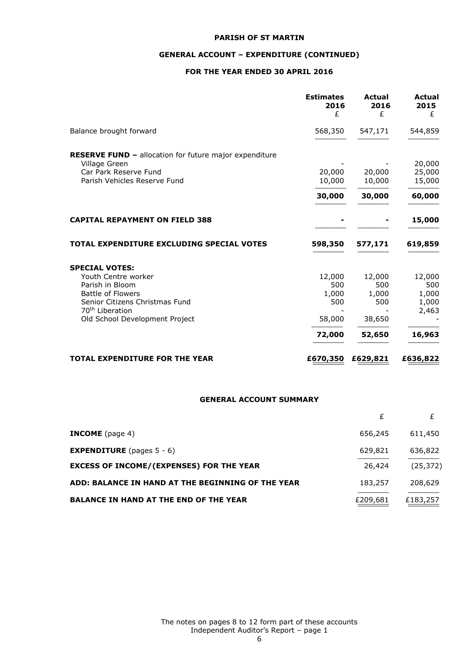# **GENERAL ACCOUNT – EXPENDITURE (CONTINUED)**

# **FOR THE YEAR ENDED 30 APRIL 2016**

|                                                                                                                                                                                                | <b>Estimates</b><br>2016<br>£                     | <b>Actual</b><br>2016<br>£                        | <b>Actual</b><br>2015<br>£                         |
|------------------------------------------------------------------------------------------------------------------------------------------------------------------------------------------------|---------------------------------------------------|---------------------------------------------------|----------------------------------------------------|
| Balance brought forward                                                                                                                                                                        | 568,350                                           | 547,171                                           | 544,859                                            |
| <b>RESERVE FUND - allocation for future major expenditure</b><br>Village Green<br>Car Park Reserve Fund<br>Parish Vehicles Reserve Fund                                                        | 20,000<br>10,000<br>30,000                        | 20,000<br>10,000<br>30,000                        | 20,000<br>25,000<br>15,000<br>60,000               |
| <b>CAPITAL REPAYMENT ON FIELD 388</b>                                                                                                                                                          |                                                   |                                                   | 15,000                                             |
| TOTAL EXPENDITURE EXCLUDING SPECIAL VOTES                                                                                                                                                      | 598,350                                           | 577,171                                           | 619,859                                            |
| <b>SPECIAL VOTES:</b><br>Youth Centre worker<br>Parish in Bloom<br><b>Battle of Flowers</b><br>Senior Citizens Christmas Fund<br>70 <sup>th</sup> Liberation<br>Old School Development Project | 12,000<br>500<br>1,000<br>500<br>58,000<br>72,000 | 12,000<br>500<br>1,000<br>500<br>38,650<br>52,650 | 12,000<br>500<br>1,000<br>1,000<br>2,463<br>16,963 |
| <b>TOTAL EXPENDITURE FOR THE YEAR</b>                                                                                                                                                          | £670,350                                          | £629,821                                          | £636,822                                           |

### **GENERAL ACCOUNT SUMMARY**

| <b>INCOME</b> (page 4)                            | 656,245  | 611,450   |
|---------------------------------------------------|----------|-----------|
| <b>EXPENDITURE</b> (pages $5 - 6$ )               | 629,821  | 636,822   |
| <b>EXCESS OF INCOME/(EXPENSES) FOR THE YEAR</b>   | 26,424   | (25, 372) |
| ADD: BALANCE IN HAND AT THE BEGINNING OF THE YEAR | 183,257  | 208,629   |
| <b>BALANCE IN HAND AT THE END OF THE YEAR</b>     | £209,681 | £183,257  |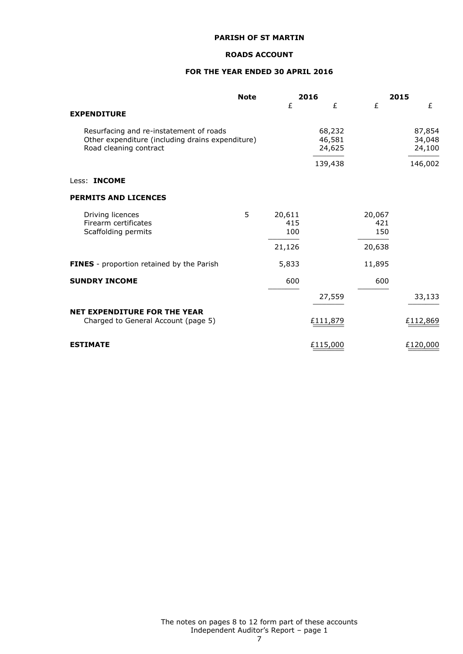### **ROADS ACCOUNT**

# **FOR THE YEAR ENDED 30 APRIL 2016**

|                                                                                                                       | <b>Note</b> |                      | 2016                       |                      | 2015                       |
|-----------------------------------------------------------------------------------------------------------------------|-------------|----------------------|----------------------------|----------------------|----------------------------|
| <b>EXPENDITURE</b>                                                                                                    |             | £                    | £                          | £                    | £                          |
| Resurfacing and re-instatement of roads<br>Other expenditure (including drains expenditure)<br>Road cleaning contract |             |                      | 68,232<br>46,581<br>24,625 |                      | 87,854<br>34,048<br>24,100 |
|                                                                                                                       |             |                      | 139,438                    |                      | 146,002                    |
| Less: <b>INCOME</b>                                                                                                   |             |                      |                            |                      |                            |
| <b>PERMITS AND LICENCES</b>                                                                                           |             |                      |                            |                      |                            |
| Driving licences<br>Firearm certificates<br>Scaffolding permits                                                       | 5           | 20,611<br>415<br>100 |                            | 20,067<br>421<br>150 |                            |
|                                                                                                                       |             | 21,126               |                            | 20,638               |                            |
| FINES - proportion retained by the Parish                                                                             |             | 5,833                |                            | 11,895               |                            |
| <b>SUNDRY INCOME</b>                                                                                                  |             | 600                  |                            | 600                  |                            |
|                                                                                                                       |             |                      | 27,559                     |                      | 33,133                     |
| <b>NET EXPENDITURE FOR THE YEAR</b><br>Charged to General Account (page 5)                                            |             |                      | £111,879                   |                      | £112,869                   |
| <b>ESTIMATE</b>                                                                                                       |             |                      | £115,000                   |                      | £120,000                   |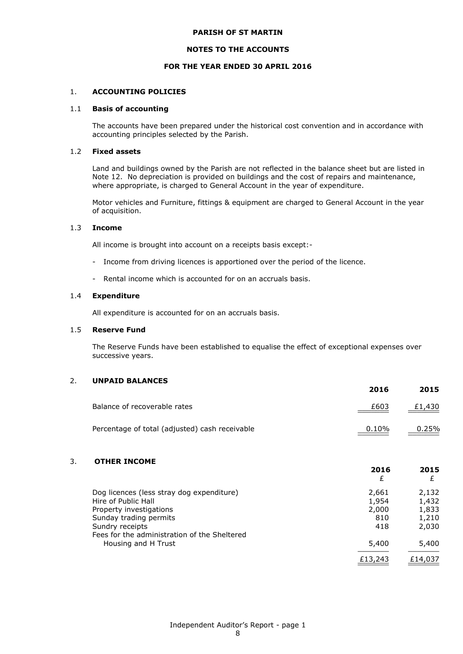### **NOTES TO THE ACCOUNTS**

### **FOR THE YEAR ENDED 30 APRIL 2016**

### 1. **ACCOUNTING POLICIES**

### 1.1 **Basis of accounting**

The accounts have been prepared under the historical cost convention and in accordance with accounting principles selected by the Parish.

### 1.2 **Fixed assets**

Land and buildings owned by the Parish are not reflected in the balance sheet but are listed in Note 12. No depreciation is provided on buildings and the cost of repairs and maintenance, where appropriate, is charged to General Account in the year of expenditure.

Motor vehicles and Furniture, fittings & equipment are charged to General Account in the year of acquisition.

### 1.3 **Income**

All income is brought into account on a receipts basis except:-

- Income from driving licences is apportioned over the period of the licence.
- Rental income which is accounted for on an accruals basis.

#### 1.4 **Expenditure**

All expenditure is accounted for on an accruals basis.

### 1.5 **Reserve Fund**

The Reserve Funds have been established to equalise the effect of exceptional expenses over successive years.

### 2. **UNPAID BALANCES**

|                                                | ----- | ----   |
|------------------------------------------------|-------|--------|
| Balance of recoverable rates                   | £603  | £1,430 |
| Percentage of total (adjusted) cash receivable | 0.10% | 0.25%  |

**2016 2015**

#### 3. **OTHER INCOME**

|                                              | 2016<br>£ | 2015    |
|----------------------------------------------|-----------|---------|
| Dog licences (less stray dog expenditure)    | 2,661     | 2,132   |
| Hire of Public Hall                          | 1,954     | 1,432   |
| Property investigations                      | 2,000     | 1,833   |
| Sunday trading permits                       | 810       | 1,210   |
| Sundry receipts                              | 418       | 2,030   |
| Fees for the administration of the Sheltered |           |         |
| Housing and H Trust                          | 5,400     | 5,400   |
|                                              | £13,243   | £14,037 |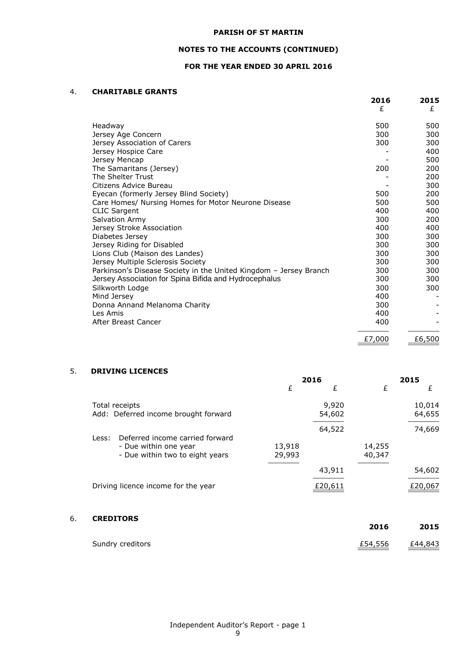# **NOTES TO THE ACCOUNTS (CONTINUED)**

# **FOR THE YEAR ENDED 30 APRIL 2016**

### 4. **CHARITABLE GRANTS**

|                                                                   | 2016<br>£ | 2015<br>£ |
|-------------------------------------------------------------------|-----------|-----------|
| Headway                                                           | 500       | 500       |
| Jersey Age Concern                                                | 300       | 300       |
| Jersey Association of Carers                                      | 300       | 300       |
| Jersey Hospice Care                                               |           | 400       |
| Jersey Mencap                                                     |           | 500       |
| The Samaritans (Jersey)                                           | 200       | 200       |
| The Shelter Trust                                                 |           | 200       |
| Citizens Advice Bureau                                            |           | 300       |
| Eyecan (formerly Jersey Blind Society)                            | 500       | 200       |
| Care Homes/ Nursing Homes for Motor Neurone Disease               | 500       | 500       |
| <b>CLIC Sargent</b>                                               | 400       | 400       |
| <b>Salvation Army</b>                                             | 300       | 200       |
| Jersey Stroke Association                                         | 400       | 400       |
| Diabetes Jersey                                                   | 300       | 300       |
| Jersey Riding for Disabled                                        | 300       | 300       |
| Lions Club (Maison des Landes)                                    | 300       | 300       |
| Jersey Multiple Sclerosis Society                                 | 300       | 300       |
| Parkinson's Disease Society in the United Kingdom - Jersey Branch | 300       | 300       |
| Jersey Association for Spina Bifida and Hydrocephalus             | 300       | 300       |
| Silkworth Lodge                                                   | 300       | 300       |
| Mind Jersey                                                       | 400       |           |
| Donna Annand Melanoma Charity                                     | 300       |           |
| Les Amis                                                          | 400       |           |
| After Breast Cancer                                               | 400       |           |
|                                                                   | £7,000    | £6,500    |
|                                                                   |           |           |

# 5. **DRIVING LICENCES**

|                                          |        | 2016    |        | 2015    |
|------------------------------------------|--------|---------|--------|---------|
|                                          | £      | £       | £      | £       |
| Total receipts                           |        | 9,920   |        | 10,014  |
| Add: Deferred income brought forward     |        | 54,602  |        | 64,655  |
|                                          |        | 64,522  |        | 74,669  |
| Deferred income carried forward<br>Less: |        |         |        |         |
| - Due within one year                    | 13,918 |         | 14,255 |         |
| - Due within two to eight years          | 29,993 |         | 40,347 |         |
|                                          |        | 43,911  |        | 54,602  |
| Driving licence income for the year      |        | £20,611 |        | £20,067 |
|                                          |        |         |        |         |

# 6. **CREDITORS**

| ------------     | 2016    | 2015    |
|------------------|---------|---------|
| Sundry creditors | £54,556 | £44,843 |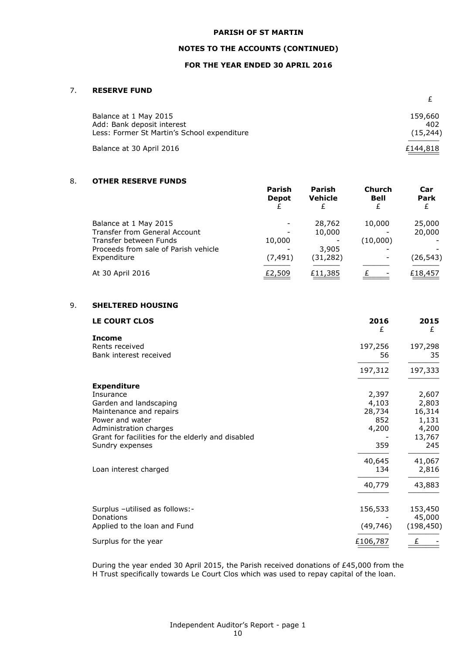### **NOTES TO THE ACCOUNTS (CONTINUED)**

# **FOR THE YEAR ENDED 30 APRIL 2016**

# 7. **RESERVE FUND**

| Balance at 1 May 2015                                                     | 159,660          |
|---------------------------------------------------------------------------|------------------|
| Add: Bank deposit interest<br>Less: Former St Martin's School expenditure | 402<br>(15, 244) |
| Balance at 30 April 2016                                                  | £144,818         |

#### 8. **OTHER RESERVE FUNDS**

|                                      | Parish<br><b>Depot</b> | Parish<br><b>Vehicle</b> | Church<br><b>Bell</b> | Car<br>Park |
|--------------------------------------|------------------------|--------------------------|-----------------------|-------------|
| Balance at 1 May 2015                |                        | 28,762                   | 10,000                | 25,000      |
| Transfer from General Account        |                        | 10,000                   |                       | 20,000      |
| Transfer between Funds               | 10,000                 |                          | (10,000)              |             |
| Proceeds from sale of Parish vehicle |                        | 3,905                    |                       |             |
| Expenditure                          | (7, 491)               | (31, 282)                |                       | (26, 543)   |
| At 30 April 2016                     | £2,509                 | £11,385                  |                       | £18,457     |

# 9. **SHELTERED HOUSING**

| LE COURT CLOS                                     | 2016<br>£     | 2015<br>£       |
|---------------------------------------------------|---------------|-----------------|
| <b>Income</b>                                     |               |                 |
| Rents received                                    | 197,256       | 197,298         |
| Bank interest received                            | 56            | 35              |
|                                                   | 197,312       | 197,333         |
| <b>Expenditure</b>                                |               |                 |
| Insurance                                         | 2,397         | 2,607           |
| Garden and landscaping                            | 4,103         | 2,803           |
| Maintenance and repairs<br>Power and water        | 28,734<br>852 | 16,314<br>1,131 |
| Administration charges                            | 4,200         | 4,200           |
| Grant for facilities for the elderly and disabled |               | 13,767          |
| Sundry expenses                                   | 359           | 245             |
|                                                   | 40,645        | 41,067          |
| Loan interest charged                             | 134           | 2,816           |
|                                                   | 40,779        | 43,883          |
| Surplus -utilised as follows:-                    | 156,533       | 153,450         |
| Donations                                         |               | 45,000          |
| Applied to the loan and Fund                      | (49, 746)     | (198, 450)      |
| Surplus for the year                              | £106,787      | £               |

During the year ended 30 April 2015, the Parish received donations of £45,000 from the H Trust specifically towards Le Court Clos which was used to repay capital of the loan.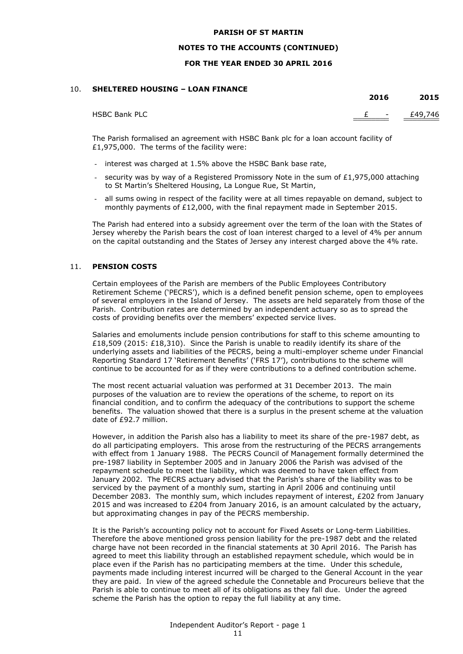### **NOTES TO THE ACCOUNTS (CONTINUED)**

### **FOR THE YEAR ENDED 30 APRIL 2016**

### 10. **SHELTERED HOUSING – LOAN FINANCE**

|                      | 2016 | 2015          |
|----------------------|------|---------------|
| <b>HSBC Bank PLC</b> |      | $E - E49,746$ |

The Parish formalised an agreement with HSBC Bank plc for a loan account facility of £1,975,000. The terms of the facility were:

- interest was charged at 1.5% above the HSBC Bank base rate,
- security was by way of a Registered Promissory Note in the sum of  $£1,975,000$  attaching to St Martin's Sheltered Housing, La Longue Rue, St Martin,
- all sums owing in respect of the facility were at all times repayable on demand, subject to monthly payments of £12,000, with the final repayment made in September 2015.

The Parish had entered into a subsidy agreement over the term of the loan with the States of Jersey whereby the Parish bears the cost of loan interest charged to a level of 4% per annum on the capital outstanding and the States of Jersey any interest charged above the 4% rate.

### 11. **PENSION COSTS**

Certain employees of the Parish are members of the Public Employees Contributory Retirement Scheme ('PECRS'), which is a defined benefit pension scheme, open to employees of several employers in the Island of Jersey. The assets are held separately from those of the Parish. Contribution rates are determined by an independent actuary so as to spread the costs of providing benefits over the members' expected service lives.

Salaries and emoluments include pension contributions for staff to this scheme amounting to £18,509 (2015: £18,310). Since the Parish is unable to readily identify its share of the underlying assets and liabilities of the PECRS, being a multi-employer scheme under Financial Reporting Standard 17 'Retirement Benefits' ('FRS 17'), contributions to the scheme will continue to be accounted for as if they were contributions to a defined contribution scheme.

The most recent actuarial valuation was performed at 31 December 2013. The main purposes of the valuation are to review the operations of the scheme, to report on its financial condition, and to confirm the adequacy of the contributions to support the scheme benefits. The valuation showed that there is a surplus in the present scheme at the valuation date of £92.7 million.

However, in addition the Parish also has a liability to meet its share of the pre-1987 debt, as do all participating employers. This arose from the restructuring of the PECRS arrangements with effect from 1 January 1988. The PECRS Council of Management formally determined the pre-1987 liability in September 2005 and in January 2006 the Parish was advised of the repayment schedule to meet the liability, which was deemed to have taken effect from January 2002. The PECRS actuary advised that the Parish's share of the liability was to be serviced by the payment of a monthly sum, starting in April 2006 and continuing until December 2083. The monthly sum, which includes repayment of interest, £202 from January 2015 and was increased to £204 from January 2016, is an amount calculated by the actuary, but approximating changes in pay of the PECRS membership.

It is the Parish's accounting policy not to account for Fixed Assets or Long-term Liabilities. Therefore the above mentioned gross pension liability for the pre-1987 debt and the related charge have not been recorded in the financial statements at 30 April 2016. The Parish has agreed to meet this liability through an established repayment schedule, which would be in place even if the Parish has no participating members at the time. Under this schedule, payments made including interest incurred will be charged to the General Account in the year they are paid. In view of the agreed schedule the Connetable and Procureurs believe that the Parish is able to continue to meet all of its obligations as they fall due. Under the agreed scheme the Parish has the option to repay the full liability at any time.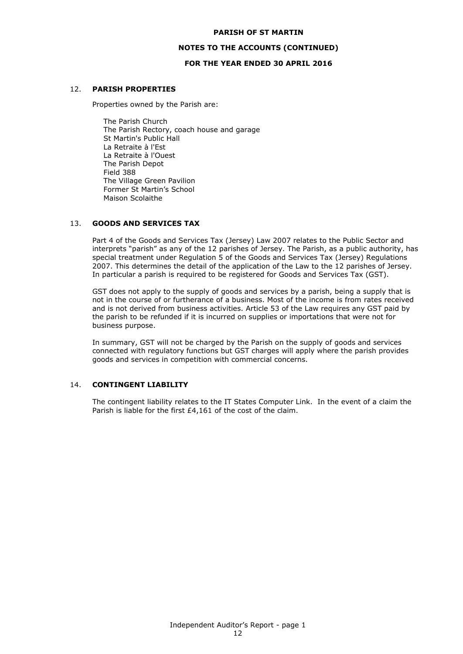### **NOTES TO THE ACCOUNTS (CONTINUED)**

### **FOR THE YEAR ENDED 30 APRIL 2016**

### 12. **PARISH PROPERTIES**

Properties owned by the Parish are:

The Parish Church The Parish Rectory, coach house and garage St Martin's Public Hall La Retraite à l'Est La Retraite à l'Ouest The Parish Depot Field 388 The Village Green Pavilion Former St Martin's School Maison Scolaithe

### 13. **GOODS AND SERVICES TAX**

Part 4 of the Goods and Services Tax (Jersey) Law 2007 relates to the Public Sector and interprets "parish" as any of the 12 parishes of Jersey. The Parish, as a public authority, has special treatment under Regulation 5 of the Goods and Services Tax (Jersey) Regulations 2007. This determines the detail of the application of the Law to the 12 parishes of Jersey. In particular a parish is required to be registered for Goods and Services Tax (GST).

GST does not apply to the supply of goods and services by a parish, being a supply that is not in the course of or furtherance of a business. Most of the income is from rates received and is not derived from business activities. Article 53 of the Law requires any GST paid by the parish to be refunded if it is incurred on supplies or importations that were not for business purpose.

In summary, GST will not be charged by the Parish on the supply of goods and services connected with regulatory functions but GST charges will apply where the parish provides goods and services in competition with commercial concerns.

### 14. **CONTINGENT LIABILITY**

The contingent liability relates to the IT States Computer Link. In the event of a claim the Parish is liable for the first £4,161 of the cost of the claim.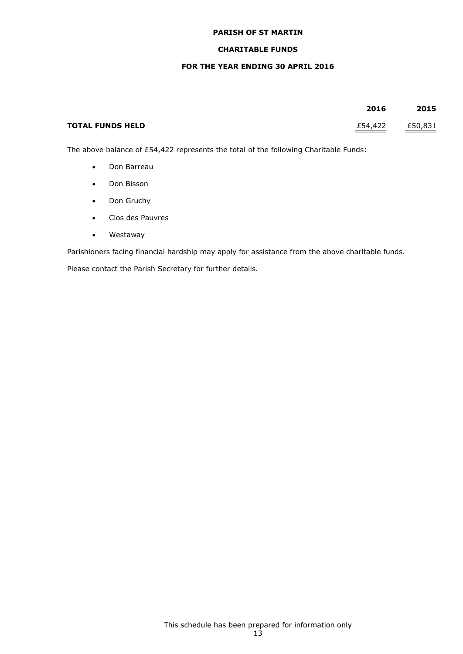# **CHARITABLE FUNDS**

# **FOR THE YEAR ENDING 30 APRIL 2016**

|                         | 2016    | 2015    |
|-------------------------|---------|---------|
| <b>TOTAL FUNDS HELD</b> | £54,422 | £50,831 |

The above balance of £54,422 represents the total of the following Charitable Funds:

- Don Barreau
- Don Bisson
- Don Gruchy
- Clos des Pauvres
- Westaway

Parishioners facing financial hardship may apply for assistance from the above charitable funds.

Please contact the Parish Secretary for further details.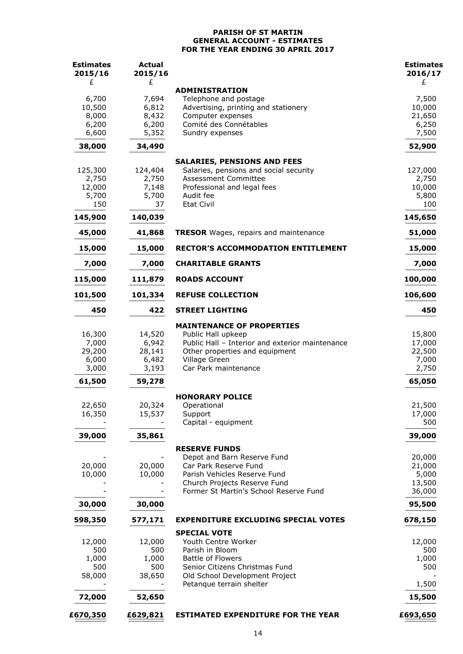### **PARISH OF ST MARTIN GENERAL ACCOUNT - ESTIMATES FOR THE YEAR ENDING 30 APRIL 2017**

| <b>Estimates</b><br>2015/16        | <b>Actual</b><br>2015/16           |                                                                                                                                                              | <b>Estimates</b><br>2016/17         |
|------------------------------------|------------------------------------|--------------------------------------------------------------------------------------------------------------------------------------------------------------|-------------------------------------|
| £                                  | £                                  | <b>ADMINISTRATION</b>                                                                                                                                        | £                                   |
| 6,700                              | 7,694                              | Telephone and postage                                                                                                                                        | 7,500                               |
| 10,500                             | 6,812                              | Advertising, printing and stationery                                                                                                                         | 10,000                              |
| 8,000                              | 8,432                              | Computer expenses                                                                                                                                            | 21,650                              |
| 6,200<br>6,600                     | 6,200<br>5,352                     | Comité des Connétables<br>Sundry expenses                                                                                                                    | 6,250<br>7,500                      |
| 38,000                             | 34,490                             |                                                                                                                                                              | 52,900                              |
|                                    |                                    | <b>SALARIES, PENSIONS AND FEES</b>                                                                                                                           |                                     |
| 125,300                            | 124,404                            | Salaries, pensions and social security                                                                                                                       | 127,000                             |
| 2,750                              | 2,750                              | Assessment Committee                                                                                                                                         | 2,750                               |
| 12,000                             | 7,148                              | Professional and legal fees                                                                                                                                  | 10,000                              |
| 5,700<br>150                       | 5,700<br>37                        | Audit fee<br><b>Etat Civil</b>                                                                                                                               | 5,800<br>100                        |
| 145,900                            | 140,039                            |                                                                                                                                                              | 145,650                             |
| 45,000                             | 41,868                             | <b>TRESOR</b> Wages, repairs and maintenance                                                                                                                 | 51,000                              |
| 15,000                             | 15,000                             | <b>RECTOR'S ACCOMMODATION ENTITLEMENT</b>                                                                                                                    | 15,000                              |
| 7,000                              | 7,000                              | <b>CHARITABLE GRANTS</b>                                                                                                                                     | 7,000                               |
| 115,000                            | 111,879                            | <b>ROADS ACCOUNT</b>                                                                                                                                         | 100,000                             |
| 101,500                            | 101,334                            | <b>REFUSE COLLECTION</b>                                                                                                                                     | 106,600                             |
| 450                                | 422                                | <b>STREET LIGHTING</b>                                                                                                                                       | 450                                 |
| 16,300<br>7,000<br>29,200<br>6,000 | 14,520<br>6,942<br>28,141<br>6,482 | <b>MAINTENANCE OF PROPERTIES</b><br>Public Hall upkeep<br>Public Hall - Interior and exterior maintenance<br>Other properties and equipment<br>Village Green | 15,800<br>17,000<br>22,500<br>7,000 |
| 3,000                              | 3,193                              | Car Park maintenance                                                                                                                                         | 2,750                               |
| 61,500                             | 59,278                             |                                                                                                                                                              | 65,050                              |
|                                    |                                    | <b>HONORARY POLICE</b>                                                                                                                                       |                                     |
| 22,650                             | 20,324                             | Operational                                                                                                                                                  | 21,500                              |
| 16,350                             | 15,537                             | Support                                                                                                                                                      | 17,000                              |
| 39,000                             | 35,861                             | Capital - equipment                                                                                                                                          | 500<br>39,000                       |
|                                    |                                    |                                                                                                                                                              |                                     |
|                                    |                                    | <b>RESERVE FUNDS</b><br>Depot and Barn Reserve Fund                                                                                                          | 20,000                              |
| 20,000                             | 20,000                             | Car Park Reserve Fund                                                                                                                                        | 21,000                              |
| 10,000                             | 10,000                             | Parish Vehicles Reserve Fund                                                                                                                                 | 5,000                               |
|                                    |                                    | Church Projects Reserve Fund                                                                                                                                 | 13,500                              |
| 30,000                             | 30,000                             | Former St Martin's School Reserve Fund                                                                                                                       | 36,000<br>95,500                    |
|                                    |                                    |                                                                                                                                                              |                                     |
| 598,350                            | 577,171                            | <b>EXPENDITURE EXCLUDING SPECIAL VOTES</b>                                                                                                                   | 678,150                             |
| 12,000                             | 12,000                             | <b>SPECIAL VOTE</b><br>Youth Centre Worker                                                                                                                   | 12,000                              |
| 500                                | 500                                | Parish in Bloom                                                                                                                                              | 500                                 |
| 1,000                              | 1,000                              | <b>Battle of Flowers</b>                                                                                                                                     | 1,000                               |
| 500                                | 500                                | Senior Citizens Christmas Fund                                                                                                                               | 500                                 |
| 58,000                             | 38,650                             | Old School Development Project<br>Petanque terrain shelter                                                                                                   | 1,500                               |
| 72,000                             | 52,650                             |                                                                                                                                                              | 15,500                              |
| £670,350                           | £629,821                           | <b>ESTIMATED EXPENDITURE FOR THE YEAR</b>                                                                                                                    | £693,650                            |